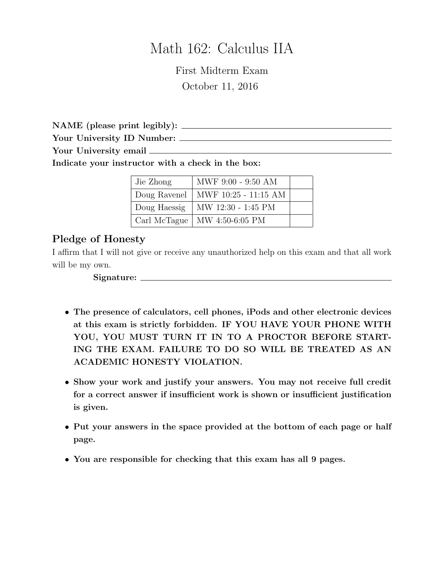# Math 162: Calculus IIA

First Midterm Exam October 11, 2016

NAME (please print legibly): Your University ID Number: Your University email

Indicate your instructor with a check in the box:

| Jie Zhong    | MWF 9:00 - 9:50 AM             |  |
|--------------|--------------------------------|--|
| Doug Ravenel | MWF 10:25 - 11:15 AM           |  |
| Doug Haessig | $\vert$ MW 12:30 - 1:45 PM     |  |
|              | Carl McTague   MW 4:50-6:05 PM |  |

#### Pledge of Honesty

I affirm that I will not give or receive any unauthorized help on this exam and that all work will be my own.

Signature:

- The presence of calculators, cell phones, iPods and other electronic devices at this exam is strictly forbidden. IF YOU HAVE YOUR PHONE WITH YOU, YOU MUST TURN IT IN TO A PROCTOR BEFORE START-ING THE EXAM. FAILURE TO DO SO WILL BE TREATED AS AN ACADEMIC HONESTY VIOLATION.
- Show your work and justify your answers. You may not receive full credit for a correct answer if insufficient work is shown or insufficient justification is given.
- Put your answers in the space provided at the bottom of each page or half page.
- You are responsible for checking that this exam has all 9 pages.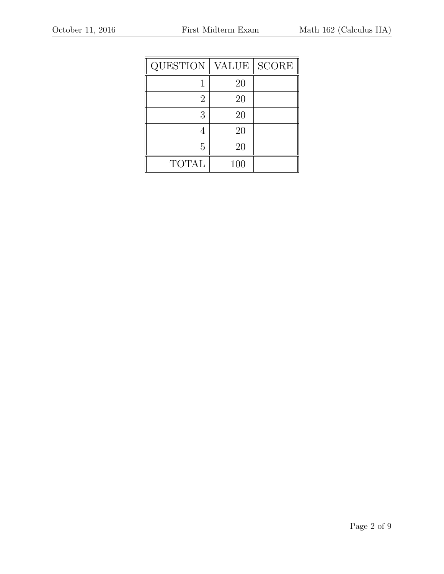| <b>QUESTION</b> | <b>VALUE</b> | <b>SCORE</b> |
|-----------------|--------------|--------------|
|                 | 20           |              |
| 2               | 20           |              |
| 3               | 20           |              |
|                 | 20           |              |
| 5               | 20           |              |
| <b>TOTAL</b>    | 100          |              |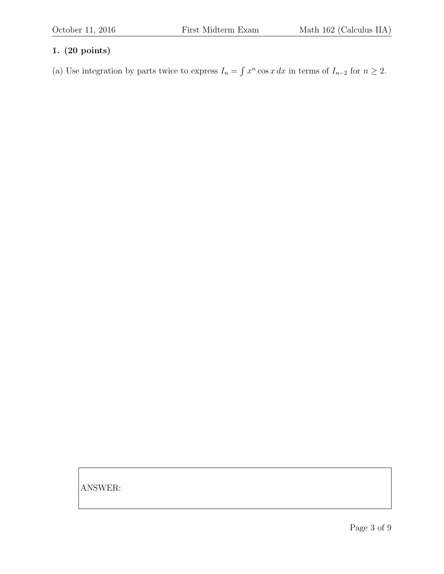(a) Use integration by parts twice to express  $I_n = \int x^n \cos x \, dx$  in terms of  $I_{n-2}$  for  $n \ge 2$ .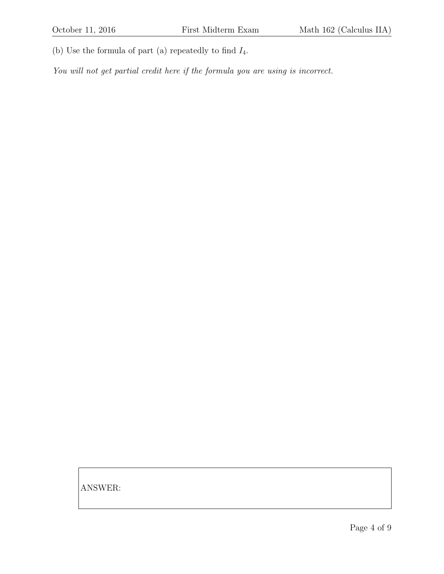(b) Use the formula of part (a) repeatedly to find  $I_4$ .

You will not get partial credit here if the formula you are using is incorrect.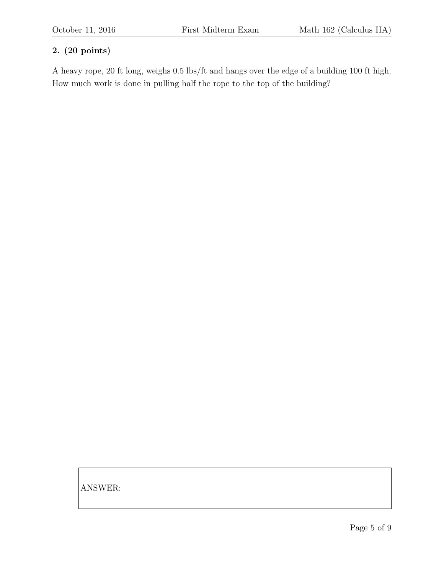A heavy rope, 20 ft long, weighs 0.5 lbs/ft and hangs over the edge of a building 100 ft high. How much work is done in pulling half the rope to the top of the building?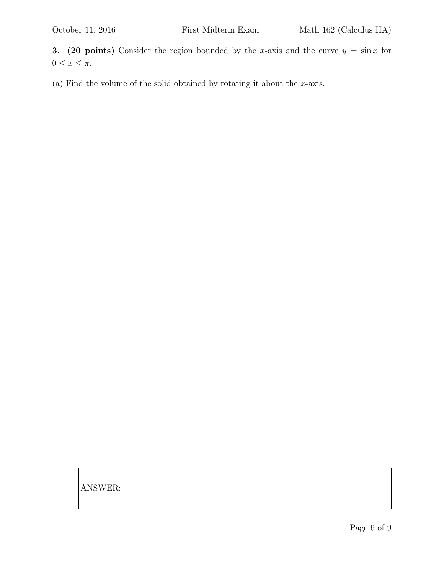3. (20 points) Consider the region bounded by the x-axis and the curve  $y = \sin x$  for  $0 \leq x \leq \pi$ .

(a) Find the volume of the solid obtained by rotating it about the  $x$ -axis.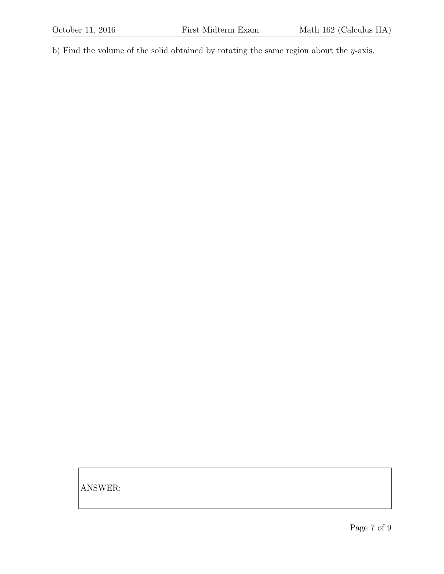b) Find the volume of the solid obtained by rotating the same region about the y-axis.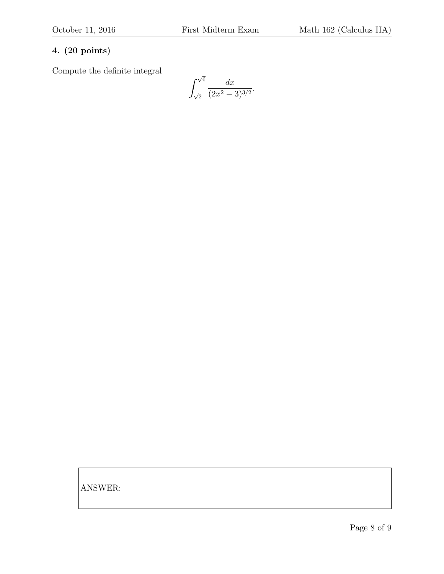Compute the definite integral

$$
\int_{\sqrt{2}}^{\sqrt{6}} \frac{dx}{(2x^2 - 3)^{3/2}}.
$$